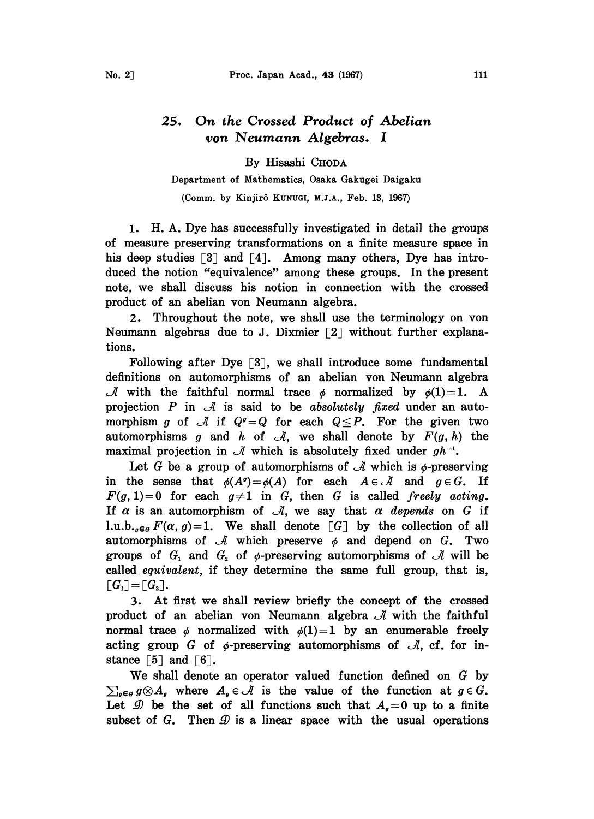## 25. On the Crossed Product of Abelian yon Neumann Algebras. <sup>1</sup>

By Hisashi CHODA

## Department of Mathematics, Osaka Gakugei Daigaku

(Comm. by Kinjir6 KuNuGI, M.J.A., Feb. 13, 1967)

1. H.A. Dye has successfully investigated in detail the groups of measure preserving transformations on a finite measure space in his deep studies  $\lceil 3 \rceil$  and  $\lceil 4 \rceil$ . Among many others, Dye has introduced the notion "equivalence" among these groups. In the present note, we shall discuss his notion in connection with the crossed product of an abelian von Neumann algebra.

2. Throughout the note, we shall use the terminology on von Neumann algebras due to J. Dixmier  $\lceil 2 \rceil$  without further explanations.

Following after Dye  $\lceil 3 \rceil$ , we shall introduce some fundamental definitions on automorphisms of an abelian yon Neumann algebra *A* with the faithful normal trace  $\phi$  normalized by  $\phi(1)=1$ . A projection P in  $\mathcal A$  is said to be absolutely fixed under an automorphism g of  $\mathcal A$  if  $Q^q = Q$  for each  $Q \leq P$ . For the given two automorphisms g and h of  $\mathcal{A}$ , we shall denote by  $F(g, h)$  the maximal projection in  $\mathcal A$  which is absolutely fixed under  $gh^{-1}$ .

Let G be a group of automorphisms of  $\mathcal A$  which is  $\phi$ -preserving in the sense that  $\phi(A^q) = \phi(A)$  for each  $A \in \mathcal{A}$  and  $g \in G$ . If  $F(g, 1)=0$  for each  $g\neq 1$  in G, then G is called freely acting. If  $\alpha$  is an automorphism of  $\mathcal{A}$ , we say that  $\alpha$  depends on G if 1.u.b.,  $e_a F(\alpha, g) = 1$ . We shall denote  $\lceil G \rceil$  by the collection of all automorphisms of  $\mathcal A$  which preserve  $\phi$  and depend on G. Two groups of  $G_1$  and  $G_2$  of  $\phi$ -preserving automorphisms of  $\mathcal A$  will be called equivalent, if they determine the same full group, that is,  $\lceil G_1 \rceil = \lceil G_2 \rceil.$ 

3. At first we shall review briefly the concept of the crossed product of an abelian von Neumann algebra  $\mathcal A$  with the faithful normal trace  $\phi$  normalized with  $\phi(1)=1$  by an enumerable freely acting group G of  $\phi$ -preserving automorphisms of  $\mathcal{A}$ , cf. for instance  $\lceil 5 \rceil$  and  $\lceil 6 \rceil$ .

We shall denote an operator valued function defined on G by  $\sum_{g \in G} g \otimes A_g$  where  $A_g \in \mathcal{A}$  is the value of the function at  $g \in G$ . Let  $\mathcal{D}$  be the set of all functions such that  $A_{\sigma}=0$  up to a finite subset of G. Then  $\mathcal D$  is a linear space with the usual operations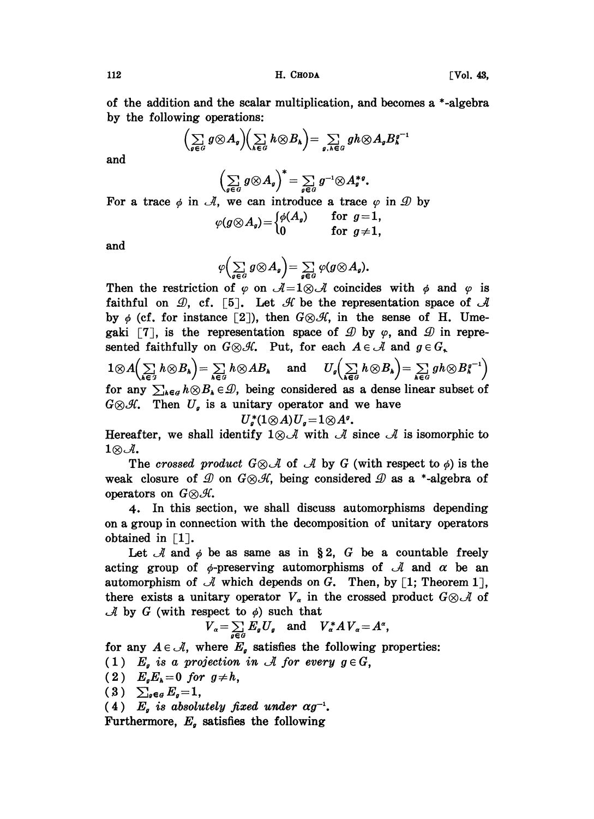112 **H. CHODA H. CHODA [Vol. 43,** 

of the addition and the scalar multiplication, and becomes a \*-algebra by the following operations:

$$
\left(\sum_{g\in G}g\otimes A_g\right)\left(\sum_{k\in G}h\otimes B_k\right)=\sum_{g,h\in G}gh\otimes A_gB_k^{g-1}
$$

and

$$
\left(\sum_{g\in G}g\otimes A_g\right)^*=\sum_{g\in G}g^{-1}\otimes A_g^{*g}.
$$

For a trace  $\phi$  in  $\mathcal{A}$ , we can introduce a trace  $\varphi$  in  $\mathcal{D}$  by

$$
\varphi(g \otimes A_g) = \begin{cases} \phi(A_g) & \text{for } g=1, \\ 0 & \text{for } g \neq 1, \end{cases}
$$

and

$$
\varphi\Big(\sum_{g\in G}g\otimes A_g\Big)=\sum_{g\in G}\varphi(g\otimes A_g).
$$

Then the restriction of  $\varphi$  on  $\mathcal{A} = 1 \otimes \mathcal{A}$  coincides with  $\varphi$  and  $\varphi$  is faithful on  $\mathcal{D}$ , cf. [5]. Let  $\mathcal{H}$  be the representation space of  $\mathcal{A}$ by  $\phi$  (cf. for instance [2]), then  $G \otimes \mathcal{H}$ , in the sense of H. Umegaki  $\lceil 7 \rceil$ , is the representation space of  $\mathcal{D}$  by  $\varphi$ , and  $\mathcal{D}$  in represented faithfully on  $G \otimes \mathcal{H}$ . Put, for each  $A \in \mathcal{A}$  and  $g \in G$ ,

 $1 \otimes A\left(\sum_{k \in \mathcal{G}} h \otimes B_k\right) = \sum_{k \in \mathcal{G}} h \otimes AB_k$  and  $U_g\left(\sum_{k \in \mathcal{G}} h \otimes B_k\right) = \sum_{k \in \mathcal{G}} gh \otimes B_k^{g^{-1}}$ <br>for any  $\sum_{k \in \mathcal{G}} h \otimes B_k \in \mathcal{D}$ , being considered as a dense linear subset of  $G \otimes \mathcal{H}$ . Then  $U_g$  is a unitary operator and we have  $U_g^*(1 \otimes A)U_g = 1 \otimes A^g$ .

Hereafter, we shall identify  $1 \otimes \mathcal{A}$  with  $\mathcal{A}$  since  $\mathcal{A}$  is isomorphic to 1 $\otimes$  *J*.<br>The crossed product  $G \otimes A$  of *A* by *G* (with respect to  $\phi$ ) is the

weak closure of  $\mathcal D$  on  $G \otimes \mathcal H$ , being considered  $\mathcal D$  as a \*-algebra of operators on  $G \otimes \mathcal{H}$ .

4. In this section, we shall discuss automorphisms depending on a group in connection with the decomposition of unitary operators obtained in  $\lceil 1 \rceil$ .

Let A and  $\phi$  be as same as in §2, G be a countable freely acting group of  $\phi$ -preserving automorphisms of  $\mathcal A$  and  $\alpha$  be an automorphism of  $\mathcal A$  which depends on G. Then, by [1; Theorem 1]. there exists a unitary operator  $V_a$  in the crossed product  $G \otimes \mathcal{A}$  of  $\mathcal A$  by G (with respect to  $\phi$ ) such that

$$
V_{\alpha} = \sum_{g \in G} E_g U_g \quad \text{and} \quad V_{\alpha}^* A V_{\alpha} = A^{\alpha},
$$

for any  $A \in \mathcal{A}$ , where  $E_g$  satisfies the following properties:

- (1)  $E_a$  is a projection in A for every  $g \in G$ ,
- (2)  $E_g E_h = 0$  for  $g \neq h$ ,<br>(3)  $\sum_{g \in g} E_g = 1$ ,
- 
- (4)  $E_g$  is absolutely fixed under  $\alpha g^{-1}$ .

Furthermore,  $E_g$  satisfies the following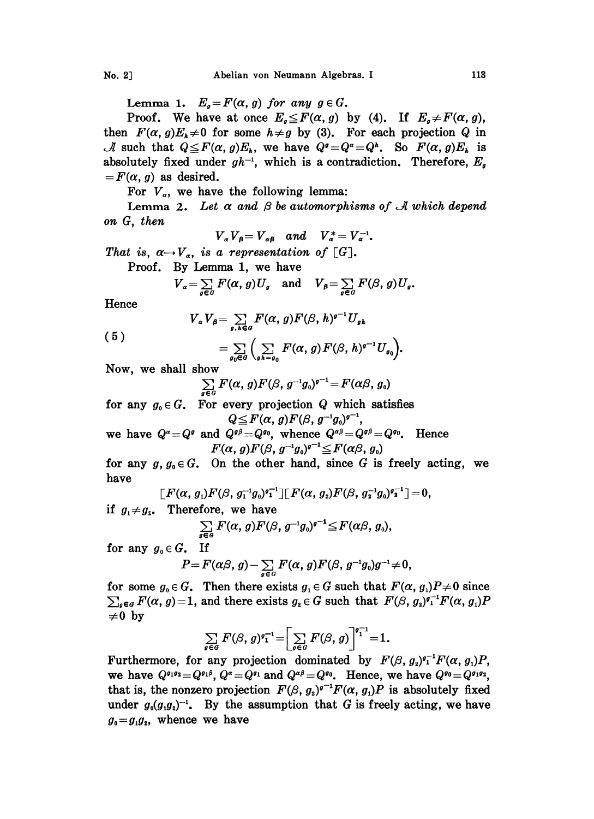Lemma 1.  $E_q = F(\alpha, g)$  for any  $g \in G$ .

Proof. We have at once  $E<sub>g</sub> \leq F(\alpha, g)$  by (4). If  $E<sub>g</sub> \neq F(\alpha, g)$ , then  $F(\alpha, g)E_k \neq 0$  for some  $h \neq g$  by (3). For each projection Q in *A* such that  $Q \leq F(\alpha, g)E_k$ , we have  $Q^q = Q^{\alpha} = Q^k$ . So  $F(\alpha, g)E_k$  is absolutely fixed under  $gh^{-1}$ , which is a contradiction. Therefore,  $E_g$  $=F(\alpha, g)$  as desired.

For  $V_{\alpha}$ , we have the following lemma:

Lemma 2. Let  $\alpha$  and  $\beta$  be automorphisms of  $\mathcal A$  which depend on G, then

$$
V_{\alpha}V_{\beta}=V_{\alpha\beta} \quad and \quad V_{\alpha}^*=V_{\alpha}^{-1}.
$$

That is,  $\alpha \rightarrow V_{\alpha}$ , is a representation of [G].

Proof. By Lemma 1, we have

$$
V_{\alpha} = \sum_{g \in G} F(\alpha, g) U_g \quad \text{and} \quad V_{\beta} = \sum_{g \in G} F(\beta, g) U_g.
$$

Hence

(5)

$$
V_{\alpha}V_{\beta} = \sum_{g,h \in G} F(\alpha, g) F(\beta, h)^{g-1} U_{g,h}
$$

$$
=\sum_{g_0\in G}\Big(\sum_{g\mid h=g_0}F(\alpha,\,g)\,F(\beta,\,h)^{g-1}U_{g_0}\Big).
$$

Now, we shall show

$$
\sum_{\alpha \in G} F(\alpha, g) F(\beta, g^{-1}g_0)^{q-1} = F(\alpha\beta, g_0)
$$

for any  $g_0 \in G$ . For every projection Q which satisfies  $Q \leq F(\alpha, g)F(\beta, g^{-1}g_0)^{g^{-1}}$ 

we have  $Q^{\alpha} = Q^{\alpha}$  and  $Q^{\alpha\beta} = Q^{\alpha_0}$ , whence  $Q^{\alpha\beta} = Q^{\alpha\beta} = Q^{\alpha_0}$ . Hence  $F(\alpha, g)F(\beta, g^{-1}g_0)^{g^{-1}} \leq F(\alpha\beta, g_0)$ 

for any  $g, g_0 \in G$ . On the other hand, since G is freely acting, we have

$$
\,[\,F(\alpha,\,g_1)F(\beta,\,g_1^{-1}g_{{}_0})^g{}^{1\,\cdot}_{\mathbf{1}}\,]\,[\,F(\alpha,\,g_2)F(\beta,\,g_2^{-1}g_{{}_0})^g{}^{1\,\cdot}_{\mathbf{2}}\,]=0,
$$

if  $g_1 \neq g_2$ . Therefore, we have

$$
\sum_{g\in G} F(\alpha, g) F(\beta, g^{-1}g_0)^{g^{-1}} \leq F(\alpha\beta, g_0),
$$

for any  $g_0 \in G$ . If

$$
P\!=\!F(\alpha\beta, g)\!-\!\sum_{g\in G}F(\alpha, g)F(\beta, g^{-1}g_0)g^{-1}\!\neq\!0,
$$

for some  $g_0 \in G$ . Then there exists  $g_1 \in G$  such that  $F(\alpha, g_1)P \neq 0$  since  $\sum_{g \in G} F(\alpha, g) = 1$ , and there exists  $g_2 \in G$  such that  $F(\beta, g_2)^{g_1^{-1}}F(\alpha, g_1)P$  $\neq 0$  by

$$
\sum_{g\in G} F(\beta, g)^{q-1} = \left[ \sum_{g\in G} F(\beta, g) \right]^{q-1} = 1.
$$

Furthermore, for any projection dominated by  $F(\beta, g_2)^{q-1}F(\alpha, g_1)P$ , we have  $Q^{\sigma_1 \sigma_2} = Q^{\sigma_1 \beta}$ ,  $Q^{\alpha} = Q^{\sigma_1}$  and  $Q^{\alpha \beta} = Q^{\sigma_0}$ . Hence, we have  $Q^{\sigma_0} = Q^{\sigma_1 \sigma_2}$ , that is, the nonzero projection  $F(\beta, g_x)^{q-1}F(\alpha, g_y)P$  is absolutely fixed under  $g_0(g_1g_2)^{-1}$ . By the assumption that G is freely acting, we have  $g_0 = g_1 g_2$ , whence we have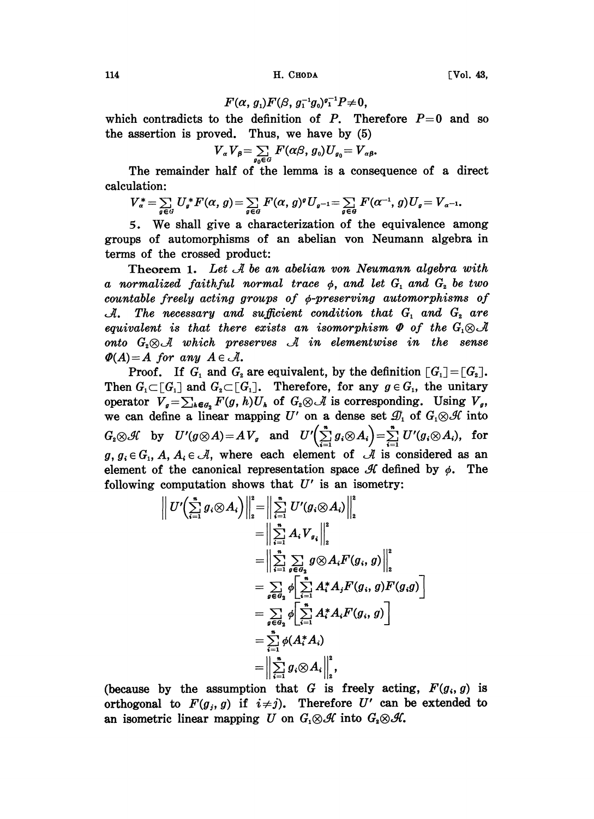114 H. CHODA

$$
F(\alpha, g_1)F(\beta, g_1^{-1}g_0)^{q_1^{-1}}P\neq 0,
$$

which contradicts to the definition of P. Therefore  $P=0$  and so the assertion is proved. Thus, we have by (5)

$$
V_{\alpha}V_{\beta} = \sum_{g_0 \in G} F(\alpha \beta, g_0) U_{g_0} = V_{\alpha \beta}.
$$

The remainder half of the lemma is a consequence of a direct calculation:

$$
V_{\alpha}^* = \sum_{g \in G} U_g^* F(\alpha, g) = \sum_{g \in G} F(\alpha, g)^g U_{g^{-1}} = \sum_{g \in G} F(\alpha^{-1}, g) U_g = V_{\alpha^{-1}}.
$$

. We shall give <sup>a</sup> characterization of the equivalence among groups of automorphisms of an abelian von Neumann algebra in terms of the crossed product:

Theorem 1. Let  $\mathcal A$  be an abelian von Neumann algebra with a normalized faithful normal trace  $\phi$ , and let  $G_i$  and  $G_i$  be two countable freely acting groups of  $\phi$ -preserving automorphisms of  $\mathcal{A}$ . The necessary and sufficient condition that  $G_1$  and  $G_2$  are equivalent is that there exists an isomorphism  $\Phi$  of the  $G_1 \otimes \mathcal{A}$ onto  $G_2 \otimes \mathcal{A}$  which preserves  $\mathcal{A}$  in elementwise in the sense  $\Phi(A)=A$  for any  $A\in\mathcal{A}$ .

Proof. If  $G_1$  and  $G_2$  are equivalent, by the definition  $[G_1] = [G_2]$ . Then  $G_1 \subset [G_1]$  and  $G_2 \subset [G_1]$ . Therefore, for any  $g \in G_1$ , the unitary operator  $V_g = \sum_{k \in G_2} F(g, h)U_k$  of  $G_i \otimes \mathcal{A}$  is corresponding. Using  $V_g$ , we can define a linear mapping U' on a dense set  $\mathcal{D}_1$  of  $G_1 \otimes \mathcal{H}$  into  $G_i \otimes \mathcal{H}$  by  $U'(g \otimes A) = A V_g$  and  $U'\left(\sum_{i=1}^n g_i \otimes A_i\right) = \sum_{i=1}^n U'(g_i \otimes A_i)$ , for  $g, g_i \in G_1, A, A_i \in \mathcal{A}$ , where each element of  $\mathcal{A}$  is considered as an element of the canonical representation space  $\mathcal{H}$  defined by  $\phi$ . The following computation shows that  $U'$  is an isometry:

$$
\left\| U' \Big( \sum_{i=1}^n g_i \otimes A_i \Big) \right\|_2^2 = \left\| \sum_{i=1}^n U'(g_i \otimes A_i) \right\|_2^2
$$
  
\n
$$
= \left\| \sum_{i=1}^n A_i V_{g_i} \right\|_2^2
$$
  
\n
$$
= \left\| \sum_{i=1}^n \sum_{g \in G_2} g \otimes A_i F(g_i, g) \right\|_2^2
$$
  
\n
$$
= \sum_{g \in G_2} \phi \left[ \sum_{i=1}^n A_i^* A_i F(g_i, g) F(g_i g) \right]
$$
  
\n
$$
= \sum_{g \in G_2} \phi \left[ \sum_{i=1}^n A_i^* A_i F(g_i, g) \right]
$$
  
\n
$$
= \sum_{i=1}^n \phi(A_i^* A_i)
$$
  
\n
$$
= \left\| \sum_{i=1}^n g_i \otimes A_i \right\|_2^2,
$$

(because by the assumption that G is freely acting,  $F(g_i, g)$  is orthogonal to  $F(g_j, g)$  if  $i \neq j$ ). Therefore U' can be extended to an isometric linear mapping U on  $G_1 \otimes \mathcal{H}$  into  $G_2 \otimes \mathcal{H}$ .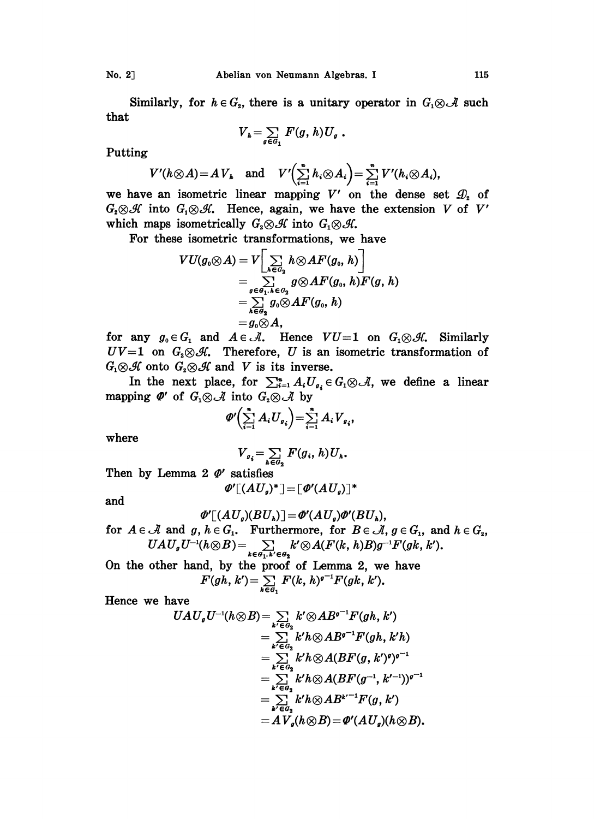Similarly, for  $h \in G_z$ , there is a unitary operator in  $G_1 \otimes \mathcal{A}$  such that

$$
V_{h}=\sum_{g\in G_{1}}F(g,h)U_{g}.
$$

Putting

$$
V'(h \otimes A) = A V_h \quad \text{and} \quad V'\Big(\sum_{i=1}^n h_i \otimes A_i\Big) = \sum_{i=1}^n V'(h_i \otimes A_i),
$$

we have an isometric linear mapping V' on the dense set  $\mathcal{D}_2$  of  $G_2 \otimes \mathcal{H}$  into  $G_1 \otimes \mathcal{H}$ . Hence, again, we have the extension V of V' which maps isometrically  $G_2 \otimes \mathcal{H}$  into  $G_1 \otimes \mathcal{H}$ .

For these isometric transfomations, we have

$$
VU(g_0\otimes A)=V\Big[\sum_{h\in G_2}h\otimes AF(g_0,\,h)\Big]\\=\sum_{g\in G_1,\,h\in G_2}g\otimes AF(g_0,\,h)F(g,\,h)\\=\sum_{h\in G_2}g_0\otimes AF(g_0,\,h)\\=g_0\otimes A,
$$

 $= g_0 \otimes A$ ,<br>for any  $g_0 \in G_1$  and  $A \in \mathcal{A}$ . Hence  $VU=1$  on  $G_1 \otimes \mathcal{H}$ . Similarly<br> $UV=1$  on  $G_2 \otimes \mathcal{H}$ . Therefore, U is an isometric transformation of<br> $G_1 \otimes \mathcal{H}$  onto  $G_2 \otimes \mathcal{H}$  and V is its inverse.<br>In  $UV=1$  on  $G_2 \otimes \mathcal{H}$ . Therefore, U is an isometric transformation of  $G_1 \otimes \mathcal{H}$  onto  $G_2 \otimes \mathcal{H}$  and V is its inverse.

A onto  $G_2 \otimes \mathcal{A}$  and V is its inverse.<br>
In the next place, for  $\sum_{i=1}^n A_i U_{g_i} \in G_1 \otimes \mathcal{A}$ , we define a linear<br>
ping  $\Phi'$  of  $G_1 \otimes \mathcal{A}$  into  $G_2 \otimes \mathcal{A}$  by mapping  $\mathbf{\Phi}'$  of  $G_1 \otimes \mathcal{A}$  into  $G_2 \otimes \mathcal{A}$  by

$$
\varPhi'\left(\sum_{i=1}^n A_i U_{g_i}\right) = \sum_{i=1}^n A_i V_{g_i},
$$

where

$$
V_{g_i} = \sum_{k \in G_2} F(g_i, h) U_k.
$$

Then by Lemma 2  $\phi'$  satisfies

$$
\Phi'[(AU_g)^*] = [\Phi'(AU_g)]^*
$$

and

$$
\varPhi'[\langle AU_g\rangle(BU_k)]=\varPhi'(AU_g)\varPhi'(BU_k),\\ \text{for}\;\;A\in\mathcal{A}\;\;\text{and}\;\;g,\,h\in G_1.\quad\text{Furthermore, for}\;\;B\in\mathcal{A},\,g\in G_1,\;\;\text{and}\;h\in G_2,\\ UAU_gU^{-1}(h\otimes B)=\sum_{k\in\mathcal{G}_1,\,k'\in\mathcal{G}_2}k'\otimes A(F(k,\,h)B)g^{-1}F(gk,\,k').
$$

On the other hand, by the proof of Lemma 2, we have  $F(gh, k') = \sum_{k \in G_1} F(k, h)^{g-1} F(gk, k').$ 

Hence we have

$$
UAU_{g}U^{-1}(h\otimes B) = \sum_{k'\in G_{2}} k'\otimes AB^{g^{-1}}F(gh, k')
$$
  
\n
$$
= \sum_{k'\in G_{2}} k'h\otimes AB^{g^{-1}}F(gh, k'h)
$$
  
\n
$$
= \sum_{k'\in G_{2}} k'h\otimes A(BF(g, k')^{g})^{g^{-1}}
$$
  
\n
$$
= \sum_{k'\in G_{2}} k'h\otimes A(BF(g^{-1}, k'^{-1}))^{g^{-1}}
$$
  
\n
$$
= \sum_{k'\in G_{2}} k'h\otimes AB^{k'-1}F(g, k')
$$
  
\n
$$
= AV_{g}(h\otimes B) = \Phi'(AU_{g})(h\otimes B).
$$